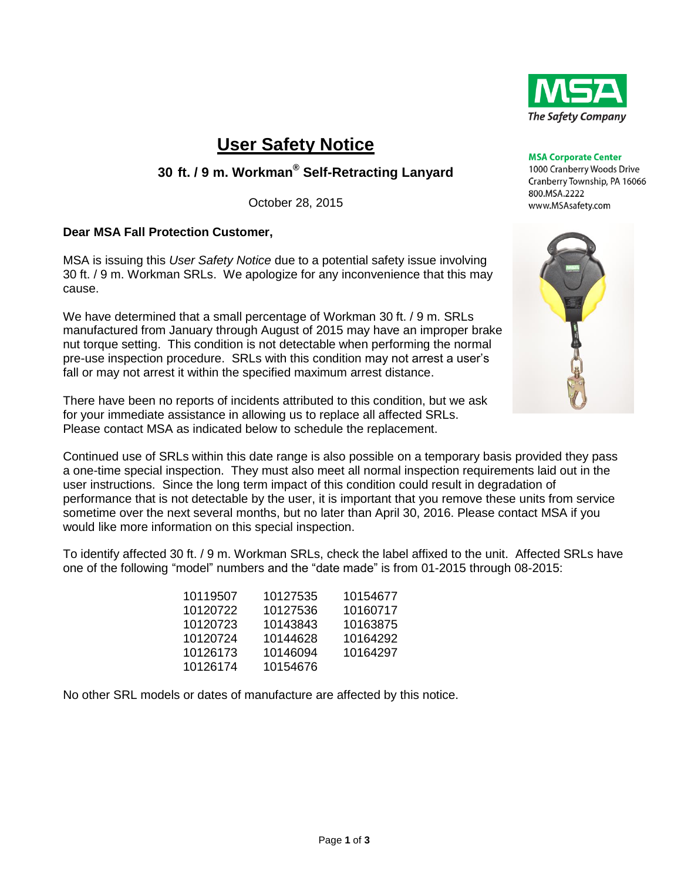

# **User Safety Notice**

# **30 ft. / 9 m. Workman® Self-Retracting Lanyard**

October 28, 2015

### **Dear MSA Fall Protection Customer,**

MSA is issuing this *User Safety Notice* due to a potential safety issue involving 30 ft. / 9 m. Workman SRLs. We apologize for any inconvenience that this may cause.

We have determined that a small percentage of Workman 30 ft. / 9 m. SRLs manufactured from January through August of 2015 may have an improper brake nut torque setting. This condition is not detectable when performing the normal pre-use inspection procedure. SRLs with this condition may not arrest a user's fall or may not arrest it within the specified maximum arrest distance.

There have been no reports of incidents attributed to this condition, but we ask for your immediate assistance in allowing us to replace all affected SRLs. Please contact MSA as indicated below to schedule the replacement.

Continued use of SRLs within this date range is also possible on a temporary basis provided they pass a one-time special inspection. They must also meet all normal inspection requirements laid out in the user instructions. Since the long term impact of this condition could result in degradation of performance that is not detectable by the user, it is important that you remove these units from service sometime over the next several months, but no later than April 30, 2016. Please contact MSA if you would like more information on this special inspection.

To identify affected 30 ft. / 9 m. Workman SRLs, check the label affixed to the unit. Affected SRLs have one of the following "model" numbers and the "date made" is from 01-2015 through 08-2015:

| 10119507 | 10127535 | 10154677 |
|----------|----------|----------|
| 10120722 | 10127536 | 10160717 |
| 10120723 | 10143843 | 10163875 |
| 10120724 | 10144628 | 10164292 |
| 10126173 | 10146094 | 10164297 |
| 10126174 | 10154676 |          |

No other SRL models or dates of manufacture are affected by this notice.

1000 Cranberry Woods Drive Cranberry Township, PA 16066 800.MSA.2222 www.MSAsafety.com

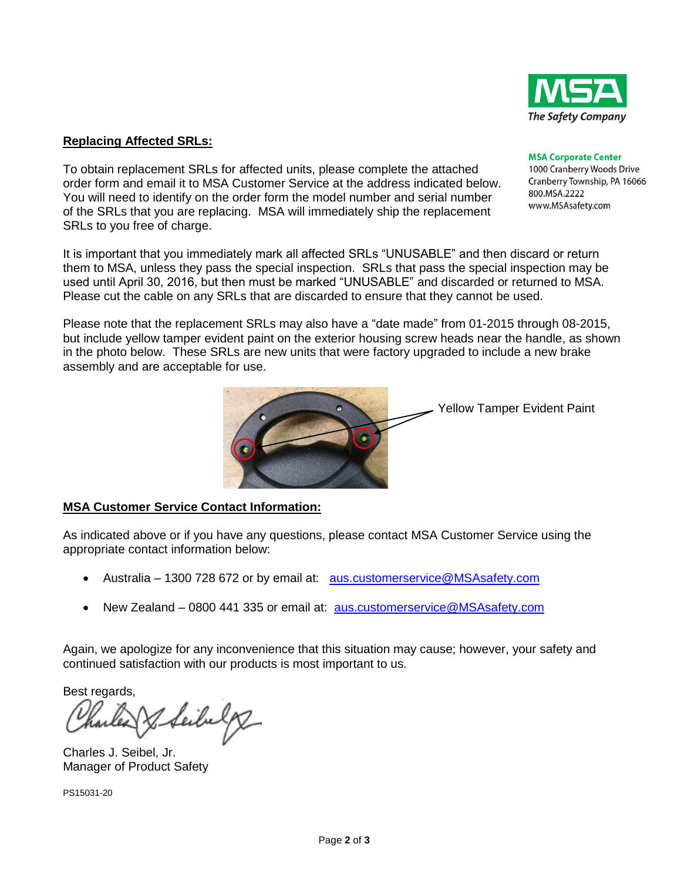

#### **Replacing Affected SRLs:**

To obtain replacement SRLs for affected units, please complete the attached order form and email it to MSA Customer Service at the address indicated below. You will need to identify on the order form the model number and serial number of the SRLs that you are replacing. MSA will immediately ship the replacement SRLs to you free of charge.

It is important that you immediately mark all affected SRLs "UNUSABLE" and then discard or return them to MSA, unless they pass the special inspection. SRLs that pass the special inspection may be used until April 30, 2016, but then must be marked "UNUSABLE" and discarded or returned to MSA. Please cut the cable on any SRLs that are discarded to ensure that they cannot be used.

Please note that the replacement SRLs may also have a "date made" from 01-2015 through 08-2015, but include yellow tamper evident paint on the exterior housing screw heads near the handle, as shown in the photo below. These SRLs are new units that were factory upgraded to include a new brake assembly and are acceptable for use.



### **MSA Customer Service Contact Information:**

As indicated above or if you have any questions, please contact MSA Customer Service using the appropriate contact information below:

- Australia 1300 728 672 or by email at: [aus.customerservice@MSAsafety.com](mailto:aus.customerservice@MSAsafety.com)
- New Zealand 0800 441 335 or email at: [aus.customerservice@MSAsafety.com](mailto:aus.customerservice@MSAsafety.com)

Again, we apologize for any inconvenience that this situation may cause; however, your safety and continued satisfaction with our products is most important to us.

Best regards,

Seibelg

Charles J. Seibel, Jr. Manager of Product Safety

PS15031-20

#### **MSA Corporate Center** 1000 Cranberry Woods Drive Cranberry Township, PA 16066

800.MSA.2222 www.MSAsafety.com